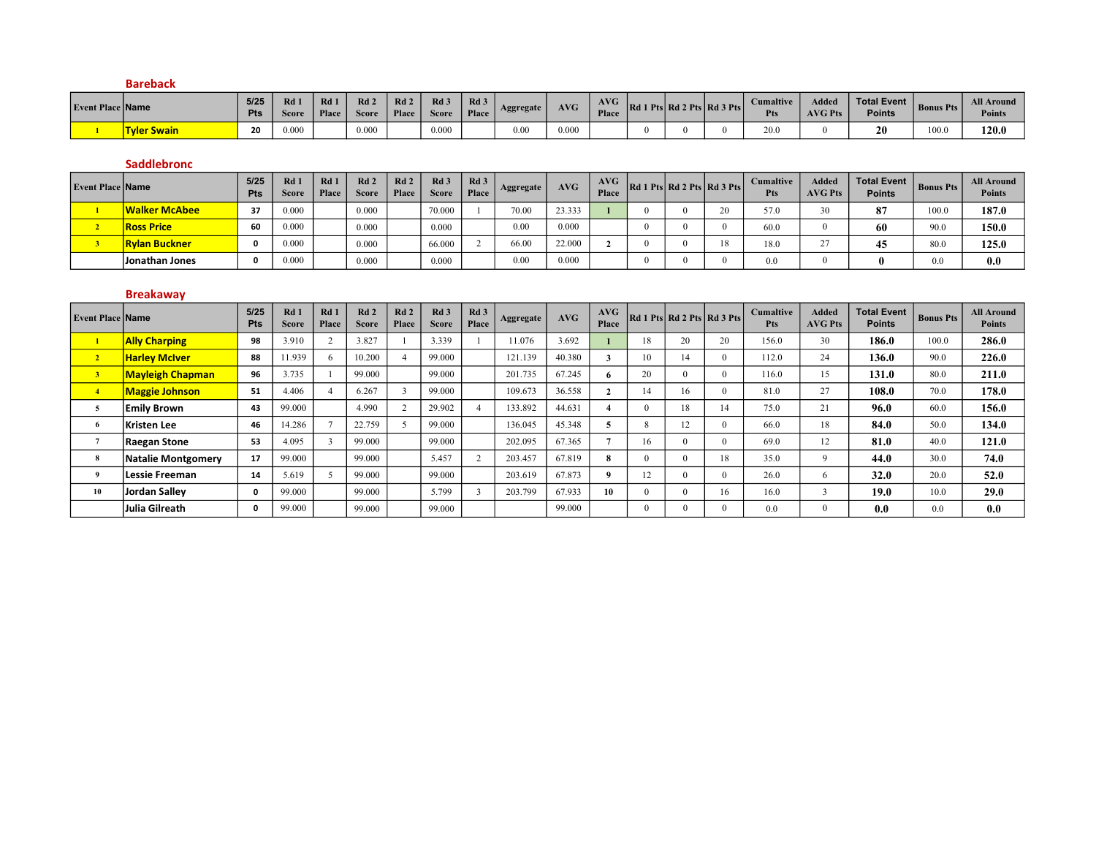|                         | <b>Bareback</b>    |                    |             |              |                                 |              |                                 |               |           |       |              |                            |                         |                         |                              |                  |                                    |
|-------------------------|--------------------|--------------------|-------------|--------------|---------------------------------|--------------|---------------------------------|---------------|-----------|-------|--------------|----------------------------|-------------------------|-------------------------|------------------------------|------------------|------------------------------------|
| <b>Event Place Name</b> |                    | 5/25<br><b>Pts</b> | Rd<br>Score | Rd1<br>Place | Rd <sub>2</sub><br><b>Score</b> | Rd2<br>Place | Rd <sub>3</sub><br><b>Score</b> | Rd 3<br>Place | Aggregate | AVG   | AVG<br>Place | Rd 1 Pts Rd 2 Pts Rd 3 Pts | <b>Cumaltive</b><br>Pts | Added<br><b>AVG Pts</b> | Total Event<br><b>Points</b> | <b>Bonus Pts</b> | <b>All Around</b><br><b>Points</b> |
|                         | <b>Tyler Swain</b> | 20                 | 0.000       |              | 0.000                           |              | 0.000                           |               | 0.00      | 0.000 |              |                            | 20.0                    |                         | 20                           | 100.0            | 120.0                              |

#### Saddlebronc

| <b>Event Place Name</b> |                      | 5/25<br>Pts | Rd<br>Score | Rd 1<br>Place | Rd <sub>2</sub><br><b>Score</b> | Rd <sub>2</sub><br>Place | Rd <sub>3</sub><br><b>Score</b> | Rd 3<br>Place | Aggregate | AVG    | AVG<br>Place | Rd 1 Pts Rd 2 Pts Rd 3 Pts |    | <b>Cumaltive</b><br><b>Pts</b> | Added<br><b>AVG Pts</b> | <b>Total Event</b>  <br>Points | <b>Bonus Pts</b> | <b>All Around</b><br><b>Points</b> |
|-------------------------|----------------------|-------------|-------------|---------------|---------------------------------|--------------------------|---------------------------------|---------------|-----------|--------|--------------|----------------------------|----|--------------------------------|-------------------------|--------------------------------|------------------|------------------------------------|
|                         | Walker McAbee        | 37          | 0.000       |               | 0.000                           |                          | 70.000                          |               | 70.00     | 23.333 |              |                            |    |                                | 30 <sup>2</sup>         | 87                             | 100.0            | 187.0                              |
|                         | <b>Ross Price</b>    | 60          | 0.000       |               | 0.000                           |                          | 0.000                           |               | 0.00      | 0.000  |              |                            |    | 60.0                           |                         | 60                             | 90.0             | 150.0                              |
|                         | <b>Rylan Buckner</b> |             | 0.000       |               | 0.000                           |                          | 66.000                          |               | 66.00     | 22.000 |              |                            | 18 | 18.0                           | n.                      | $\overline{A}$<br>43           | 80.0             | 125.0                              |
|                         | Jonathan Jones       | 0           | 0.000       |               | 0.000                           |                          | 0.000                           |               | 0.00      | 0.000  |              |                            |    | $_{0.0}$                       |                         |                                | $_{0.0}$         | 0.0                                |

#### Breakaway

| <b>Event Place Name</b> |                           | 5/25<br>Pts | $Rd$ 1<br><b>Score</b> | Rd 1<br>Place | Rd <sub>2</sub><br><b>Score</b> | Rd <sub>2</sub><br>Place | Rd <sub>3</sub><br><b>Score</b> | Rd <sub>3</sub><br>Place | Aggregate | AVG    | AVG<br>Place         |           | Rd 1 Pts   Rd 2 Pts   Rd 3 Pts |    | <b>Cumaltive</b><br><b>Pts</b> | <b>Added</b><br><b>AVG Pts</b> | <b>Total Event</b><br><b>Points</b> | <b>Bonus Pts</b> | <b>All Around</b><br><b>Points</b> |
|-------------------------|---------------------------|-------------|------------------------|---------------|---------------------------------|--------------------------|---------------------------------|--------------------------|-----------|--------|----------------------|-----------|--------------------------------|----|--------------------------------|--------------------------------|-------------------------------------|------------------|------------------------------------|
|                         | <b>Ally Charping</b>      | 98          | 3.910                  |               | 3.827                           |                          | 3.339                           |                          | 1.076     | 3.692  |                      | 18        | 20                             | 20 | 156.0                          | 30                             | 186.0                               | 100.0            | 286.0                              |
| $\overline{2}$          | <b>Harley McIver</b>      | 88          | 11.939                 | -6            | 10.200                          |                          | 99.000                          |                          | 121.139   | 40.380 |                      | 10        | 14                             |    | 112.0                          | 24                             | 136.0                               | 90.0             | 226.0                              |
| 3 <sup>7</sup>          | <b>Mayleigh Chapman</b>   | 96          | 3.735                  |               | 99.000                          |                          | 99.000                          |                          | 201.735   | 67.245 | 6                    | 20        | $\Omega$                       |    | 116.0                          | 15                             | 131.0                               | 80.0             | 211.0                              |
| $\overline{4}$          | <b>Maggie Johnson</b>     | 51          | 4.406                  |               | 6.267                           |                          | 99.000                          |                          | 109.673   | 36.558 | $\ddot{\phantom{0}}$ | 14        | 16                             |    | 81.0                           | 27                             | 108.0                               | 70.0             | 178.0                              |
| 5                       | <b>Emily Brown</b>        | 43          | 99.000                 |               | 4.990                           | $\sim$                   | 29.902                          |                          | 133.892   | 44.631 |                      |           | 18                             | 14 | 75.0                           | 21                             | 96.0                                | 60.0             | 156.0                              |
|                         | Kristen Lee               | 46          | 14.286                 |               | 22.759                          |                          | 99.000                          |                          | 36.045    | 45.348 | ∍                    | $\lambda$ | 12                             |    | 66.0                           | 18                             | 84.0                                | 50.0             | 134.0                              |
|                         | Raegan Stone              | 53          | 4.095                  |               | 99.000                          |                          | 99.000                          |                          | 202.095   | 67.365 |                      | 16        | $\theta$                       |    | 69.0                           | 12                             | 81.0                                | 40.0             | 121.0                              |
| 8                       | <b>Natalie Montgomery</b> | 17          | 99.000                 |               | 99.000                          |                          | 5.457                           |                          | 203.457   | 67.819 | 8                    |           | $\theta$                       | 18 | 35.0                           | $\mathbf Q$                    | 44.0                                | 30.0             | 74.0                               |
|                         | Lessie Freeman            | 14          | 5.619                  |               | 99.000                          |                          | 99.000                          |                          | 203.619   | 67.873 | -9                   | 12        | $\Omega$                       |    | 26.0                           |                                | 32.0                                | 20.0             | 52.0                               |
| 10                      | Jordan Sallev             | 0           | 99.000                 |               | 99.000                          |                          | 5.799                           |                          | 203.799   | 67.933 | 10                   |           |                                | 16 | 16.0                           |                                | 19.0                                | 10.0             | 29.0                               |
|                         | Julia Gilreath            | 0           | 99.000                 |               | 99.000                          |                          | 99.000                          |                          |           | 99.000 |                      |           | $\Omega$                       |    | 0.0                            |                                | 0.0                                 | 0.0              | 0.0                                |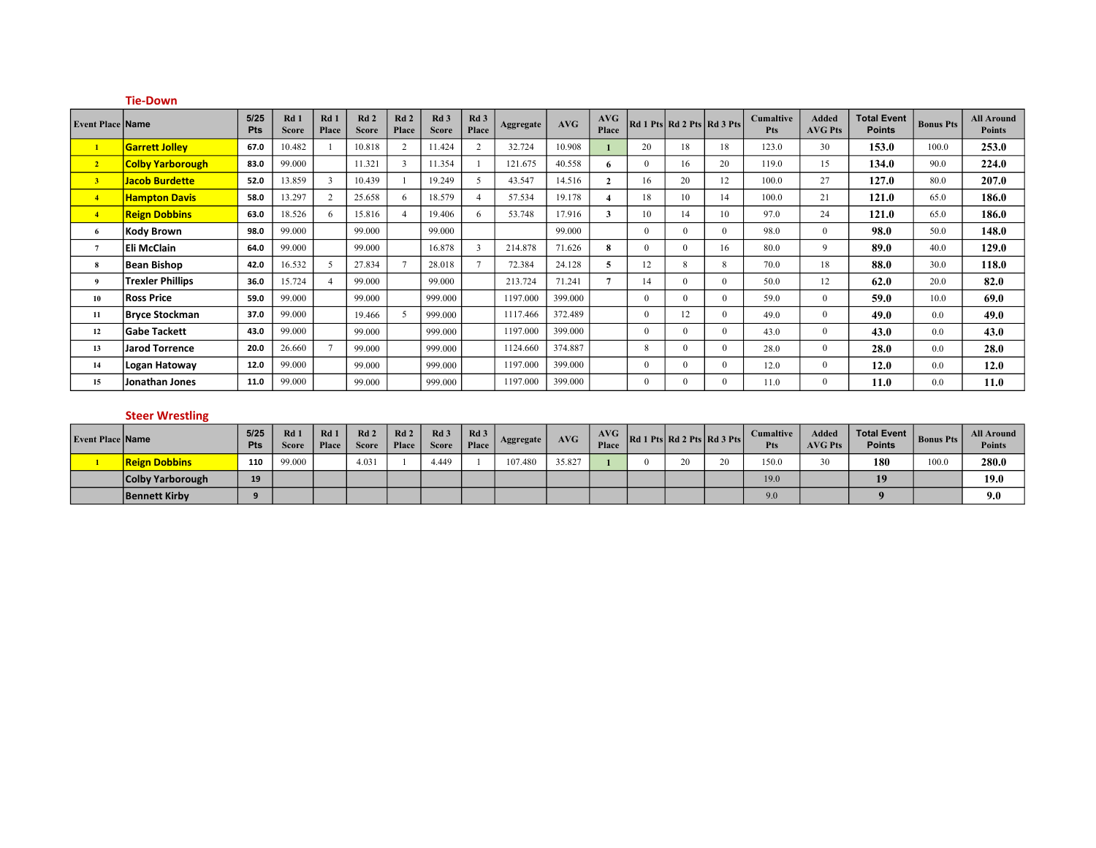|                         | <b>Tie-Down</b>         |             |                      |               |                     |                |                                 |                          |           |         |                |          |                            |          |                         |                         |                                     |                  |                                    |
|-------------------------|-------------------------|-------------|----------------------|---------------|---------------------|----------------|---------------------------------|--------------------------|-----------|---------|----------------|----------|----------------------------|----------|-------------------------|-------------------------|-------------------------------------|------------------|------------------------------------|
| <b>Event Place Name</b> |                         | 5/25<br>Pts | Rd 1<br><b>Score</b> | Rd1<br>Place  | Rd2<br><b>Score</b> | Rd2<br>Place   | Rd <sub>3</sub><br><b>Score</b> | Rd <sub>3</sub><br>Place | Aggregate | AVG     | AVG<br>Place   |          | Rd 1 Pts Rd 2 Pts Rd 3 Pts |          | Cumaltive<br><b>Pts</b> | Added<br><b>AVG Pts</b> | <b>Total Event</b><br><b>Points</b> | <b>Bonus Pts</b> | <b>All Around</b><br><b>Points</b> |
| $\mathbf{1}$            | <b>Garrett Jolley</b>   | 67.0        | 10.482               |               | 10.818              | 2              | 11.424                          | 2                        | 32.724    | 10.908  |                | 20       | 18                         | 18       | 123.0                   | 30                      | 153.0                               | 100.0            | 253.0                              |
| 2 <sup>7</sup>          | <b>Colby Yarborough</b> | 83.0        | 99.000               |               | 11.321              | $\mathbf{3}$   | 11.354                          |                          | 121.675   | 40.558  | 6              | $\Omega$ | 16                         | 20       | 119.0                   | 15                      | 134.0                               | 90.0             | 224.0                              |
| 3 <sup>7</sup>          | <b>Jacob Burdette</b>   | 52.0        | 13.859               | $\mathcal{R}$ | 10.439              |                | 19.249                          | 5                        | 43.547    | 14.516  | $\mathbf{2}$   | 16       | 20                         | 12       | 100.0                   | 27                      | 127.0                               | 80.0             | 207.0                              |
| $\overline{4}$          | <b>Hampton Davis</b>    | 58.0        | 13.297               | 2             | 25.658              | 6              | 18.579                          |                          | 57.534    | 19.178  | 4              | 18       | 10                         | 14       | 100.0                   | 21                      | 121.0                               | 65.0             | 186.0                              |
| $\overline{4}$          | <b>Reign Dobbins</b>    | 63.0        | 18.526               | -6            | 15.816              | $\overline{4}$ | 19.406                          | 6                        | 53.748    | 17.916  | 3              | 10       | 14                         | 10       | 97.0                    | 24                      | 121.0                               | 65.0             | 186.0                              |
| 6                       | <b>Kody Brown</b>       | 98.0        | 99.000               |               | 99.000              |                | 99.000                          |                          |           | 99.000  |                | $\Omega$ | $\Omega$                   | $\Omega$ | 98.0                    | $\Omega$                | 98.0                                | 50.0             | 148.0                              |
| $\overline{7}$          | Eli McClain             | 64.0        | 99.000               |               | 99.000              |                | 16.878                          | 3                        | 214.878   | 71.626  | 8              | $\Omega$ | $\Omega$                   | 16       | 80.0                    | 9                       | 89.0                                | 40.0             | 129.0                              |
| 8                       | <b>Bean Bishop</b>      | 42.0        | 16.532               | .5            | 27.834              | $\tau$         | 28.018                          | $\tau$                   | 72.384    | 24.128  | 5.             | 12       | 8                          | 8        | 70.0                    | 18                      | 88.0                                | 30.0             | 118.0                              |
| 9                       | <b>Trexler Phillips</b> | 36.0        | 15.724               |               | 99.000              |                | 99.000                          |                          | 213.724   | 71.241  | $\overline{7}$ | 14       | $\Omega$                   | $\Omega$ | 50.0                    | 12                      | 62.0                                | 20.0             | 82.0                               |
| 10                      | <b>Ross Price</b>       | 59.0        | 99.000               |               | 99.000              |                | 999.000                         |                          | 1197.000  | 399.000 |                | $\Omega$ | $\theta$                   | $\Omega$ | 59.0                    | $\theta$                | 59.0                                | 10.0             | 69.0                               |
| 11                      | <b>Bryce Stockman</b>   | 37.0        | 99.000               |               | 19.466              | 5              | 999.000                         |                          | 1117.466  | 372.489 |                | $\Omega$ | 12                         | $\Omega$ | 49.0                    | $\Omega$                | 49.0                                | 0.0              | 49.0                               |
| 12                      | <b>Gabe Tackett</b>     | 43.0        | 99.000               |               | 99.000              |                | 999.000                         |                          | 1197.000  | 399.000 |                | $\Omega$ | $\Omega$                   | $\Omega$ | 43.0                    | $\Omega$                | 43.0                                | 0.0              | 43.0                               |
| 13                      | <b>Jarod Torrence</b>   | 20.0        | 26.660               |               | 99.000              |                | 999.000                         |                          | 1124.660  | 374.887 |                | 8        | $\Omega$                   | $\Omega$ | 28.0                    | $\Omega$                | 28.0                                | 0.0              | <b>28.0</b>                        |
| 14                      | Logan Hatoway           | 12.0        | 99.000               |               | 99.000              |                | 999.000                         |                          | 1197.000  | 399.000 |                | $\Omega$ | $\Omega$                   | $\Omega$ | 12.0                    | $\theta$                | 12.0                                | 0.0              | 12.0                               |
| 15                      | Jonathan Jones          | 11.0        | 99.000               |               | 99.000              |                | 999.000                         |                          | 1197.000  | 399.000 |                | 0        | $\Omega$                   | $\Omega$ | 11.0                    | $\Omega$                | 11.0                                | 0.0              | 11.0                               |

#### Steer Wrestling

| <b>Event Place Name</b> |                      | 5/25<br>Pts | Rd 1<br><b>Score</b> | Rd 1<br>Place | Rd <sub>2</sub><br><b>Score</b> | Rd2<br>Place | Rd <sub>3</sub><br><b>Score</b> | Rd 3<br>Place | Aggregate | AVG    | AVG<br>Place |    | Rd 1 Pts Rd 2 Pts Rd 3 Pts | <b>Cumaltive</b><br>Pts | Added<br><b>AVG Pts</b> | Total Event<br><b>Points</b> | <b>Bonus Pts</b> | <b>All Around</b><br><b>Points</b> |
|-------------------------|----------------------|-------------|----------------------|---------------|---------------------------------|--------------|---------------------------------|---------------|-----------|--------|--------------|----|----------------------------|-------------------------|-------------------------|------------------------------|------------------|------------------------------------|
|                         | <b>Reign Dobbins</b> | 110         | 99.000               |               | 4.031                           |              | 4.449                           |               | 107.480   | 35.827 |              | 20 |                            | 150.0                   |                         | 180                          | 100.0            | 280.0                              |
|                         | Colby Yarborough     | 19          |                      |               |                                 |              |                                 |               |           |        |              |    |                            | 19.0                    |                         | 19                           |                  | 19.0                               |
|                         | <b>Bennett Kirby</b> |             |                      |               |                                 |              |                                 |               |           |        |              |    |                            | 9.0                     |                         |                              |                  | 9.0                                |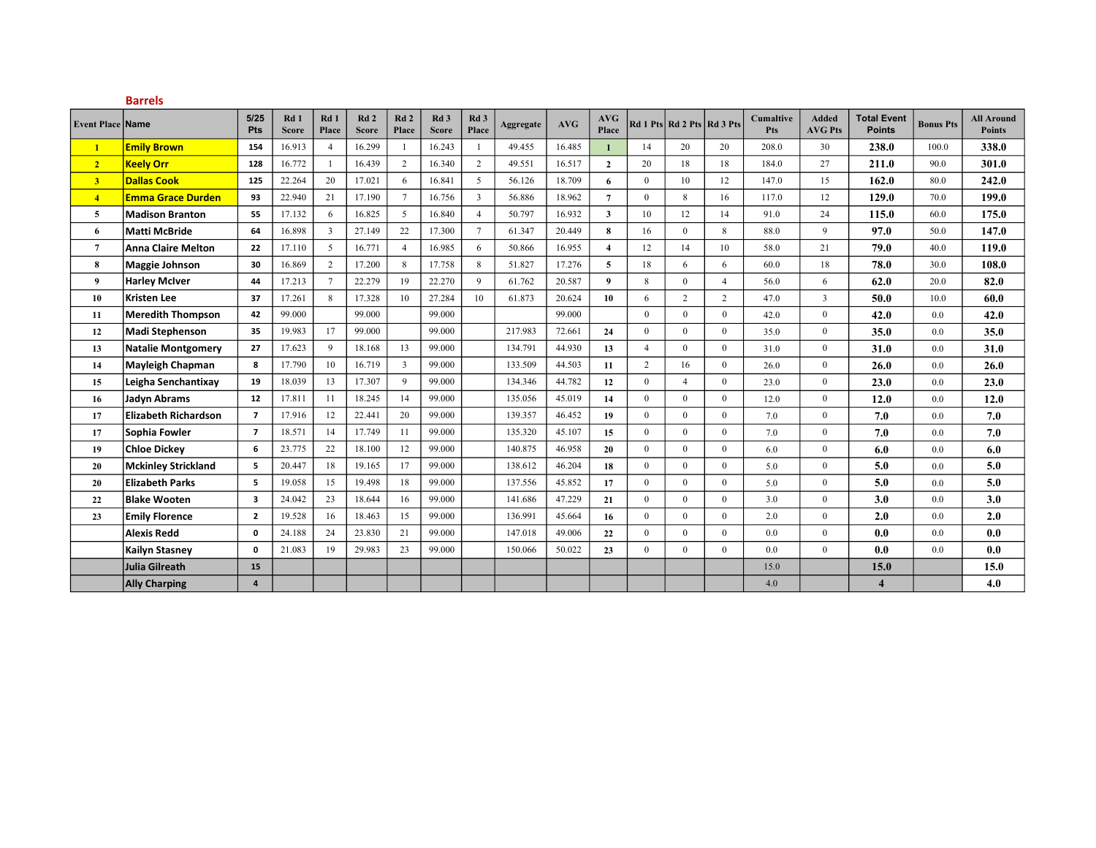|                         | <b>Barrels</b>              |                         |                                 |                 |                     |                 |                                 |                 |                  |        |                         |                |                            |                |                         |                                |                                     |                  |                                    |
|-------------------------|-----------------------------|-------------------------|---------------------------------|-----------------|---------------------|-----------------|---------------------------------|-----------------|------------------|--------|-------------------------|----------------|----------------------------|----------------|-------------------------|--------------------------------|-------------------------------------|------------------|------------------------------------|
| <b>Event Place Name</b> |                             | 5/25<br>Pts             | Rd <sub>1</sub><br><b>Score</b> | Rd1<br>Place    | Rd2<br><b>Score</b> | Rd2<br>Place    | Rd <sub>3</sub><br><b>Score</b> | Rd 3<br>Place   | <b>Aggregate</b> | AVG    | <b>AVG</b><br>Place     |                | Rd 1 Pts Rd 2 Pts Rd 3 Pts |                | <b>Cumaltive</b><br>Pts | <b>Added</b><br><b>AVG Pts</b> | <b>Total Event</b><br><b>Points</b> | <b>Bonus Pts</b> | <b>All Around</b><br><b>Points</b> |
| $\mathbf{1}$            | <b>Emily Brown</b>          | 154                     | 16.913                          | $\overline{4}$  | 16.299              |                 | 16.243                          |                 | 49.455           | 16.485 | $\mathbf{1}$            | 14             | 20                         | 20             | 208.0                   | 30                             | 238.0                               | 100.0            | 338.0                              |
| 2 <sup>1</sup>          | <b>Keelv Orr</b>            | 128                     | 16.772                          | $\mathbf{1}$    | 16.439              | 2               | 16.340                          | $\overline{2}$  | 49.551           | 16.517 | $\overline{2}$          | 20             | 18                         | 18             | 184.0                   | 27                             | 211.0                               | 90.0             | 301.0                              |
| 3 <sup>7</sup>          | <b>Dallas Cook</b>          | 125                     | 22.264                          | 20              | 17.021              | 6               | 16.841                          | 5               | 56.126           | 18.709 | 6                       | $\mathbf{0}$   | 10                         | 12             | 147.0                   | 15                             | 162.0                               | 80.0             | 242.0                              |
| $\overline{4}$          | <b>Emma Grace Durden</b>    | 93                      | 22.940                          | 21              | 17.190              | $7\phantom{.0}$ | 16.756                          | $\overline{3}$  | 56.886           | 18.962 | $\overline{7}$          | $\theta$       | 8                          | 16             | 117.0                   | 12                             | 129.0                               | 70.0             | 199.0                              |
| 5                       | <b>Madison Branton</b>      | 55                      | 17.132                          | 6               | 16.825              | 5               | 16.840                          | $\overline{4}$  | 50.797           | 16.932 | $\mathbf{3}$            | 10             | 12                         | 14             | 91.0                    | 24                             | 115.0                               | 60.0             | 175.0                              |
| 6                       | <b>Matti McBride</b>        | 64                      | 16.898                          | $\overline{3}$  | 27.149              | 22              | 17.300                          | $7\overline{ }$ | 61.347           | 20.449 | $\bf{8}$                | 16             | $\overline{0}$             | 8              | 88.0                    | 9                              | 97.0                                | 50.0             | 147.0                              |
| 7                       | Anna Claire Melton          | 22                      | 17.110                          | 5               | 16.771              | $\overline{4}$  | 16.985                          | 6               | 50.866           | 16.955 | $\overline{\mathbf{4}}$ | 12             | 14                         | 10             | 58.0                    | 21                             | 79.0                                | 40.0             | 119.0                              |
| 8                       | Maggie Johnson              | 30                      | 16.869                          | $\overline{2}$  | 17.200              | 8               | 17.758                          | 8               | 51.827           | 17.276 | 5                       | 18             | 6                          | 6              | 60.0                    | 18                             | 78.0                                | 30.0             | 108.0                              |
| 9                       | <b>Harley McIver</b>        | 44                      | 17.213                          | $7\phantom{.0}$ | 22.279              | 19              | 22.270                          | 9               | 61.762           | 20.587 | 9                       | 8              | $\mathbf{0}$               | $\overline{4}$ | 56.0                    | 6                              | 62.0                                | 20.0             | 82.0                               |
| 10                      | Kristen Lee                 | 37                      | 17.261                          | 8               | 17.328              | 10              | 27.284                          | 10              | 61.873           | 20.624 | 10                      | 6              | 2                          | $\overline{2}$ | 47.0                    | $\overline{3}$                 | 50.0                                | 10.0             | 60.0                               |
| 11                      | <b>Meredith Thompson</b>    | 42                      | 99.000                          |                 | 99.000              |                 | 99.000                          |                 |                  | 99.000 |                         | $\theta$       | $\mathbf{0}$               | $\Omega$       | 42.0                    | $\overline{0}$                 | 42.0                                | 0.0              | 42.0                               |
| 12                      | <b>Madi Stephenson</b>      | 35                      | 19.983                          | 17              | 99.000              |                 | 99.000                          |                 | 217.983          | 72.661 | 24                      | $\theta$       | $\theta$                   | $\theta$       | 35.0                    | $\theta$                       | 35.0                                | 0.0              | 35.0                               |
| 13                      | <b>Natalie Montgomery</b>   | 27                      | 17.623                          | 9               | 18.168              | 13              | 99.000                          |                 | 134.791          | 44.930 | 13                      | $\overline{4}$ | $\Omega$                   | $\theta$       | 31.0                    | $\theta$                       | 31.0                                | 0.0              | 31.0                               |
| 14                      | Mayleigh Chapman            | 8                       | 17.790                          | 10              | 16.719              | $\overline{3}$  | 99.000                          |                 | 133.509          | 44.503 | 11                      | $\overline{2}$ | 16                         | $\overline{0}$ | 26.0                    | $\overline{0}$                 | 26.0                                | 0.0              | 26.0                               |
| 15                      | Leigha Senchantixay         | 19                      | 18.039                          | 13              | 17.307              | 9               | 99.000                          |                 | 134.346          | 44.782 | 12                      | $\mathbf{0}$   | $\overline{4}$             | $\overline{0}$ | 23.0                    | $\mathbf{0}$                   | 23.0                                | 0.0              | 23.0                               |
| 16                      | <b>Jadyn Abrams</b>         | 12                      | 17.811                          | 11              | 18.245              | 14              | 99.000                          |                 | 135.056          | 45.019 | 14                      | $\mathbf{0}$   | $\mathbf{0}$               | $\mathbf{0}$   | 12.0                    | $\mathbf{0}$                   | 12.0                                | 0.0              | 12.0                               |
| 17                      | <b>Elizabeth Richardson</b> | $\overline{7}$          | 17.916                          | 12              | 22.441              | 20              | 99.000                          |                 | 139.357          | 46.452 | 19                      | $\mathbf{0}$   | $\mathbf{0}$               | $\theta$       | 7.0                     | $\mathbf{0}$                   | 7.0                                 | 0.0              | 7.0                                |
| 17                      | Sophia Fowler               | $\overline{7}$          | 18.571                          | 14              | 17.749              | 11              | 99.000                          |                 | 135.320          | 45.107 | 15                      | $\mathbf{0}$   | $\mathbf{0}$               | $\theta$       | 7.0                     | $\mathbf{0}$                   | 7.0                                 | 0.0              | 7.0                                |
| 19                      | <b>Chloe Dickey</b>         | 6                       | 23.775                          | 22              | 18.100              | 12              | 99.000                          |                 | 140.875          | 46.958 | 20                      | $\mathbf{0}$   | $\mathbf{0}$               | $\theta$       | 6.0                     | $\overline{0}$                 | 6.0                                 | 0.0              | 6.0                                |
| 20                      | <b>Mckinley Strickland</b>  | 5                       | 20.447                          | 18              | 19.165              | 17              | 99.000                          |                 | 138.612          | 46.204 | 18                      | $\mathbf{0}$   | $\theta$                   | $\theta$       | 5.0                     | $\theta$                       | 5.0                                 | 0.0              | 5.0                                |
| 20                      | <b>Elizabeth Parks</b>      | 5                       | 19.058                          | 15              | 19.498              | 18              | 99.000                          |                 | 137.556          | 45.852 | 17                      | $\mathbf{0}$   | $\mathbf{0}$               | $\theta$       | 5.0                     | $\overline{0}$                 | 5.0                                 | 0.0              | 5.0                                |
| 22                      | <b>Blake Wooten</b>         | $\overline{\mathbf{3}}$ | 24.042                          | 23              | 18.644              | 16              | 99.000                          |                 | 141.686          | 47.229 | 21                      | $\mathbf{0}$   | $\overline{0}$             | $\mathbf{0}$   | 3.0                     | $\overline{0}$                 | 3.0                                 | 0.0              | 3.0                                |
| 23                      | <b>Emily Florence</b>       | $\overline{2}$          | 19.528                          | 16              | 18.463              | 15              | 99.000                          |                 | 136.991          | 45.664 | 16                      | $\mathbf{0}$   | $\mathbf{0}$               | $\mathbf{0}$   | 2.0                     | $\overline{0}$                 | 2.0                                 | 0.0              | 2.0                                |
|                         | <b>Alexis Redd</b>          | $\mathbf 0$             | 24.188                          | 24              | 23.830              | 21              | 99.000                          |                 | 147.018          | 49.006 | 22                      | $\mathbf{0}$   | $\mathbf{0}$               | $\mathbf{0}$   | 0.0                     | $\overline{0}$                 | 0.0                                 | 0.0              | 0.0                                |
|                         | <b>Kailyn Stasney</b>       | $\mathbf 0$             | 21.083                          | 19              | 29.983              | 23              | 99.000                          |                 | 150.066          | 50.022 | 23                      | $\mathbf{0}$   | $\mathbf{0}$               | $\mathbf{0}$   | 0.0                     | $\overline{0}$                 | 0.0                                 | 0.0              | 0.0                                |
|                         | Julia Gilreath              | 15                      |                                 |                 |                     |                 |                                 |                 |                  |        |                         |                |                            |                | 15.0                    |                                | 15.0                                |                  | 15.0                               |
|                         | <b>Ally Charping</b>        | $\overline{a}$          |                                 |                 |                     |                 |                                 |                 |                  |        |                         |                |                            |                | 4.0                     |                                | $\overline{\mathbf{4}}$             |                  | 4.0                                |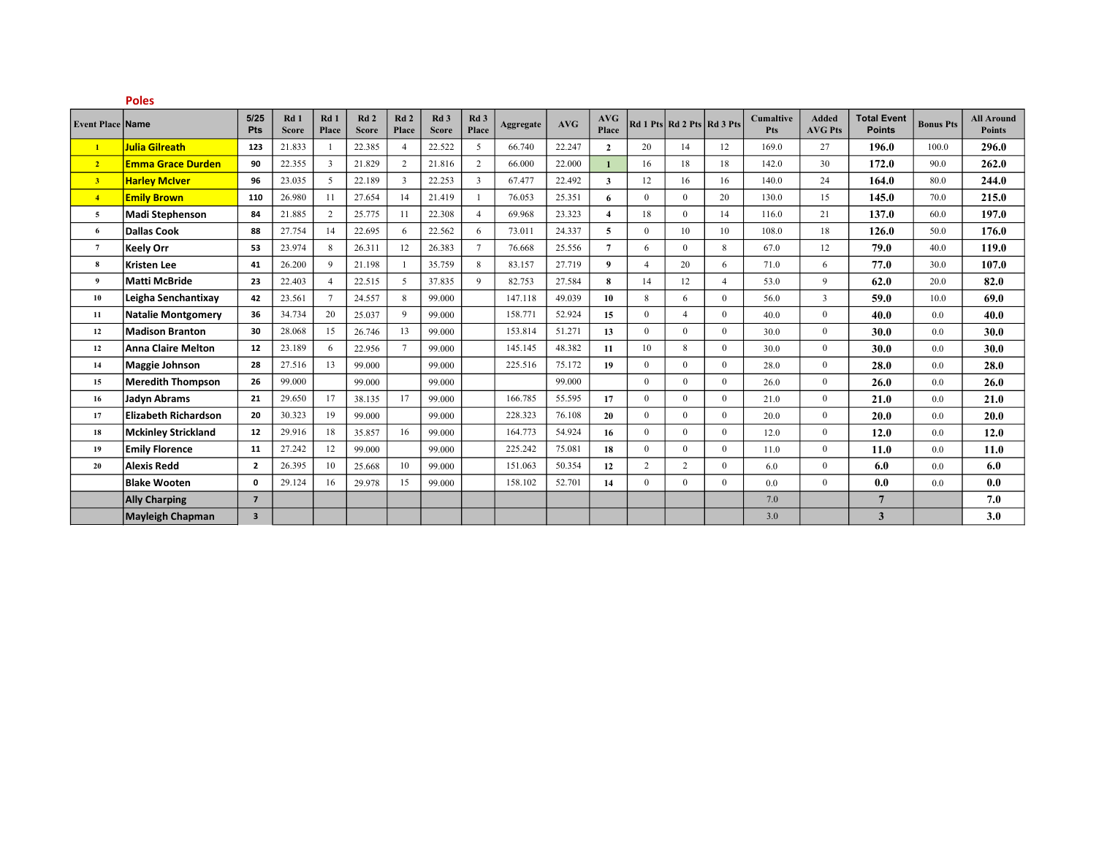|                         | <b>Poles</b>                |                         |                                 |                |                     |                |                                 |                          |           |        |                         |                |                            |                |                         |                                |                                     |                  |                                    |
|-------------------------|-----------------------------|-------------------------|---------------------------------|----------------|---------------------|----------------|---------------------------------|--------------------------|-----------|--------|-------------------------|----------------|----------------------------|----------------|-------------------------|--------------------------------|-------------------------------------|------------------|------------------------------------|
| <b>Event Place Name</b> |                             | 5/25<br>Pts             | Rd <sub>1</sub><br><b>Score</b> | Rd1<br>Place   | Rd2<br><b>Score</b> | Rd2<br>Place   | Rd <sub>3</sub><br><b>Score</b> | Rd <sub>3</sub><br>Place | Aggregate | AVG    | <b>AVG</b><br>Place     |                | Rd 1 Pts Rd 2 Pts Rd 3 Pts |                | <b>Cumaltive</b><br>Pts | <b>Added</b><br><b>AVG Pts</b> | <b>Total Event</b><br><b>Points</b> | <b>Bonus Pts</b> | <b>All Around</b><br><b>Points</b> |
| $\mathbf{1}$            | <b>Julia Gilreath</b>       | 123                     | 21.833                          |                | 22.385              | $\overline{4}$ | 22.522                          | 5                        | 66.740    | 22.247 | $\overline{2}$          | 20             | 14                         | 12             | 169.0                   | 27                             | 196.0                               | 100.0            | 296.0                              |
| 2 <sup>7</sup>          | <b>Emma Grace Durden</b>    | 90                      | 22.355                          | 3              | 21.829              | 2              | 21.816                          | $\overline{2}$           | 66.000    | 22.000 | $\mathbf{1}$            | 16             | 18                         | 18             | 142.0                   | 30                             | 172.0                               | 90.0             | 262.0                              |
| 3 <sup>7</sup>          | <b>Harley McIver</b>        | 96                      | 23.035                          | $\mathfrak{F}$ | 22.189              | $\overline{3}$ | 22.253                          | $\overline{3}$           | 67.477    | 22.492 | $\mathbf{3}$            | 12             | 16                         | 16             | 140.0                   | 24                             | 164.0                               | 80.0             | 244.0                              |
| 4 <sub>1</sub>          | <b>Emily Brown</b>          | 110                     | 26.980                          | 11             | 27.654              | 14             | 21.419                          |                          | 76.053    | 25.351 | 6                       | $\Omega$       | $\mathbf{0}$               | 20             | 130.0                   | 15                             | 145.0                               | 70.0             | 215.0                              |
| 5                       | <b>Madi Stephenson</b>      | 84                      | 21.885                          | $\overline{2}$ | 25.775              | 11             | 22.308                          | $\overline{4}$           | 69.968    | 23.323 | $\overline{\mathbf{4}}$ | 18             | $\mathbf{0}$               | 14             | 116.0                   | 21                             | 137.0                               | 60.0             | 197.0                              |
| 6                       | <b>Dallas Cook</b>          | 88                      | 27.754                          | 14             | 22.695              | 6              | 22.562                          | 6                        | 73.011    | 24.337 | 5                       | $\Omega$       | 10                         | 10             | 108.0                   | 18                             | 126.0                               | 50.0             | 176.0                              |
| $\overline{7}$          | Keely Orr                   | 53                      | 23.974                          | 8              | 26.311              | 12             | 26.383                          | $7\overline{ }$          | 76.668    | 25.556 | $\overline{7}$          | 6              | $\mathbf{0}$               | 8              | 67.0                    | 12                             | 79.0                                | 40.0             | 119.0                              |
| 8                       | Kristen Lee                 | 41                      | 26.200                          | $\mathbf{Q}$   | 21.198              | $\mathbf{1}$   | 35.759                          | 8                        | 83.157    | 27.719 | $\overline{9}$          | $\overline{4}$ | 20                         | 6              | 71.0                    | 6                              | 77.0                                | 30.0             | 107.0                              |
| $\mathbf{9}$            | <b>Matti McBride</b>        | 23                      | 22.403                          | $\overline{4}$ | 22.515              | $5^{\circ}$    | 37.835                          | 9                        | 82.753    | 27.584 | 8                       | 14             | 12                         | $\overline{4}$ | 53.0                    | 9                              | 62.0                                | 20.0             | 82.0                               |
| 10                      | Leigha Senchantixay         | 42                      | 23.561                          | $\tau$         | 24.557              | 8              | 99.000                          |                          | 147.118   | 49.039 | 10                      | 8              | 6                          | $\theta$       | 56.0                    | 3                              | 59.0                                | 10.0             | 69.0                               |
| 11                      | <b>Natalie Montgomery</b>   | 36                      | 34.734                          | 20             | 25.037              | 9              | 99.000                          |                          | 158.771   | 52.924 | 15                      | $\theta$       | $\overline{4}$             | $\theta$       | 40.0                    | $\theta$                       | 40.0                                | 0.0              | 40.0                               |
| 12                      | <b>Madison Branton</b>      | 30                      | 28.068                          | 15             | 26.746              | 13             | 99.000                          |                          | 153.814   | 51.271 | 13                      | $\Omega$       | $\mathbf{0}$               | $\Omega$       | 30.0                    | $\theta$                       | 30.0                                | 0.0              | 30.0                               |
| 12                      | <b>Anna Claire Melton</b>   | 12                      | 23.189                          | 6              | 22.956              | $\overline{7}$ | 99.000                          |                          | 145.145   | 48.382 | 11                      | 10             | 8                          | $\theta$       | 30.0                    | $\theta$                       | 30.0                                | 0.0              | 30.0                               |
| 14                      | Maggie Johnson              | 28                      | 27.516                          | 13             | 99.000              |                | 99.000                          |                          | 225.516   | 75.172 | 19                      | $\overline{0}$ | $\mathbf{0}$               | $\overline{0}$ | 28.0                    | $\mathbf{0}$                   | 28.0                                | 0.0              | 28.0                               |
| 15                      | <b>Meredith Thompson</b>    | 26                      | 99.000                          |                | 99.000              |                | 99.000                          |                          |           | 99.000 |                         | $\theta$       | $\theta$                   | $\theta$       | 26.0                    | $\theta$                       | 26.0                                | 0.0              | 26.0                               |
| 16                      | <b>Jadyn Abrams</b>         | 21                      | 29.650                          | 17             | 38.135              | 17             | 99.000                          |                          | 166.785   | 55.595 | 17                      | $\theta$       | $\Omega$                   | $\theta$       | 21.0                    | $\theta$                       | 21.0                                | 0.0              | 21.0                               |
| 17                      | <b>Elizabeth Richardson</b> | 20                      | 30.323                          | 19             | 99.000              |                | 99.000                          |                          | 228.323   | 76.108 | 20                      | $\Omega$       | $\mathbf{0}$               | $\theta$       | 20.0                    | $\theta$                       | 20.0                                | 0.0              | 20.0                               |
| 18                      | <b>Mckinley Strickland</b>  | 12                      | 29.916                          | 18             | 35.857              | 16             | 99.000                          |                          | 164.773   | 54.924 | 16                      | $\Omega$       | $\mathbf{0}$               | $\theta$       | 12.0                    | $\theta$                       | 12.0                                | 0.0              | 12.0                               |
| 19                      | <b>Emily Florence</b>       | 11                      | 27.242                          | 12             | 99.000              |                | 99.000                          |                          | 225.242   | 75.081 | 18                      | $\theta$       | $\mathbf{0}$               | $\theta$       | 11.0                    | $\theta$                       | 11.0                                | 0.0              | 11.0                               |
| 20                      | <b>Alexis Redd</b>          | $\overline{2}$          | 26.395                          | 10             | 25.668              | 10             | 99.000                          |                          | 151.063   | 50.354 | 12                      | 2              | 2                          | $\Omega$       | 6.0                     | $\theta$                       | 6.0                                 | 0.0              | 6.0                                |
|                         | <b>Blake Wooten</b>         | $\mathbf{0}$            | 29.124                          | 16             | 29.978              | 15             | 99.000                          |                          | 158.102   | 52.701 | 14                      | $\theta$       | $\mathbf{0}$               | $\overline{0}$ | 0.0                     | $\theta$                       | 0.0                                 | 0.0              | 0.0                                |
|                         | <b>Ally Charping</b>        | $\overline{7}$          |                                 |                |                     |                |                                 |                          |           |        |                         |                |                            |                | 7.0                     |                                | $\overline{7}$                      |                  | 7.0                                |
|                         | <b>Mayleigh Chapman</b>     | $\overline{\mathbf{3}}$ |                                 |                |                     |                |                                 |                          |           |        |                         |                |                            |                | 3.0                     |                                | 3                                   |                  | 3.0                                |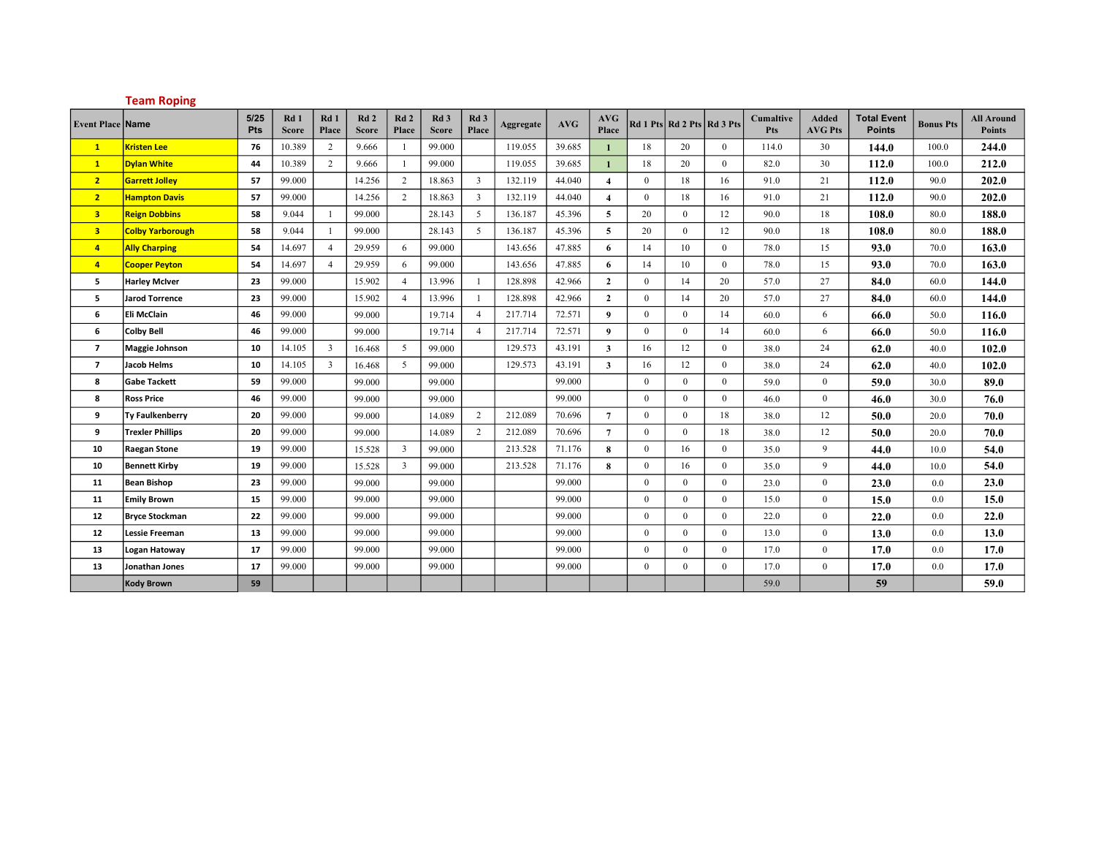|                          | <b>Team Roping</b>      |             |                     |                |                                 |                         |                                 |                          |           |            |                         |              |                            |                |                         |                                |                                     |                  |                                    |
|--------------------------|-------------------------|-------------|---------------------|----------------|---------------------------------|-------------------------|---------------------------------|--------------------------|-----------|------------|-------------------------|--------------|----------------------------|----------------|-------------------------|--------------------------------|-------------------------------------|------------------|------------------------------------|
| <b>Event Place Name</b>  |                         | 5/25<br>Pts | Rd1<br><b>Score</b> | Rd1<br>Place   | Rd <sub>2</sub><br><b>Score</b> | Rd2<br>Place            | Rd <sub>3</sub><br><b>Score</b> | Rd <sub>3</sub><br>Place | Aggregate | <b>AVG</b> | <b>AVG</b><br>Place     |              | Rd 1 Pts Rd 2 Pts Rd 3 Pts |                | <b>Cumaltive</b><br>Pts | <b>Added</b><br><b>AVG Pts</b> | <b>Total Event</b><br><b>Points</b> | <b>Bonus Pts</b> | <b>All Around</b><br><b>Points</b> |
| $\mathbf{1}$             | <b>Kristen Lee</b>      | 76          | 10.389              | 2              | 9.666                           | -1                      | 99.000                          |                          | 119.055   | 39.685     | $\mathbf{1}$            | 18           | 20                         | $\overline{0}$ | 114.0                   | 30                             | 144.0                               | 100.0            | 244.0                              |
| $\mathbf{1}$             | <b>Dylan White</b>      | 44          | 10.389              | 2              | 9.666                           | -1                      | 99.000                          |                          | 119.055   | 39.685     | $\mathbf{1}$            | 18           | 20                         | $\overline{0}$ | 82.0                    | 30                             | 112.0                               | 100.0            | 212.0                              |
| $\overline{2}$           | <b>Garrett Jolley</b>   | 57          | 99.000              |                | 14.256                          | $\overline{2}$          | 18.863                          | $\mathbf{3}$             | 132.119   | 44.040     | $\overline{4}$          | $\mathbf{0}$ | 18                         | 16             | 91.0                    | 21                             | 112.0                               | 90.0             | 202.0                              |
| $\overline{2}$           | <b>Hampton Davis</b>    | 57          | 99.000              |                | 14.256                          | 2                       | 18.863                          | $\overline{3}$           | 132.119   | 44.040     | $\overline{\mathbf{4}}$ | $\mathbf{0}$ | 18                         | 16             | 91.0                    | 21                             | 112.0                               | 90.0             | 202.0                              |
| 3                        | <b>Reign Dobbins</b>    | 58          | 9.044               | $\overline{1}$ | 99.000                          |                         | 28.143                          | 5 <sup>5</sup>           | 136.187   | 45.396     | 5                       | 20           | $\overline{0}$             | 12             | 90.0                    | 18                             | 108.0                               | 80.0             | 188.0                              |
| 3                        | <b>Colby Yarborough</b> | 58          | 9.044               | -1             | 99.000                          |                         | 28.143                          | 5 <sup>5</sup>           | 136.187   | 45.396     | 5                       | 20           | $\mathbf{0}$               | 12             | 90.0                    | 18                             | 108.0                               | 80.0             | 188.0                              |
| $\overline{4}$           | <b>Ally Charping</b>    | 54          | 14.697              | $\overline{4}$ | 29.959                          | 6                       | 99.000                          |                          | 143.656   | 47.885     | 6                       | 14           | 10                         | $\mathbf{0}$   | 78.0                    | 15                             | 93.0                                | 70.0             | 163.0                              |
| $\overline{4}$           | <b>Cooper Peyton</b>    | 54          | 14.697              | $\overline{4}$ | 29.959                          | 6                       | 99.000                          |                          | 143.656   | 47.885     | 6                       | 14           | 10                         | $\theta$       | 78.0                    | 15                             | 93.0                                | 70.0             | 163.0                              |
| 5                        | <b>Harley McIver</b>    | 23          | 99.000              |                | 15.902                          | $\overline{4}$          | 13.996                          | $\mathbf{1}$             | 128.898   | 42.966     | $\overline{2}$          | $\mathbf{0}$ | 14                         | 20             | 57.0                    | 27                             | 84.0                                | 60.0             | 144.0                              |
| 5                        | Jarod Torrence          | 23          | 99.000              |                | 15.902                          | $\overline{4}$          | 13.996                          | $\overline{1}$           | 128.898   | 42.966     | $\overline{2}$          | $\mathbf{0}$ | 14                         | 20             | 57.0                    | 27                             | 84.0                                | 60.0             | 144.0                              |
| 6                        | Eli McClain             | 46          | 99.000              |                | 99.000                          |                         | 19.714                          | $\overline{4}$           | 217.714   | 72.571     | 9                       | $\mathbf{0}$ | $\mathbf{0}$               | 14             | 60.0                    | 6                              | 66.0                                | 50.0             | 116.0                              |
| 6                        | Colby Bell              | 46          | 99.000              |                | 99.000                          |                         | 19.714                          | $\overline{4}$           | 217.714   | 72.571     | 9                       | $\theta$     | $\mathbf{0}$               | 14             | 60.0                    | 6                              | 66.0                                | 50.0             | 116.0                              |
| $\overline{\phantom{a}}$ | Maggie Johnson          | 10          | 14.105              | $\overline{3}$ | 16.468                          | 5                       | 99.000                          |                          | 129.573   | 43.191     | $\mathbf{3}$            | 16           | 12                         | $\mathbf{0}$   | 38.0                    | 24                             | 62.0                                | 40.0             | 102.0                              |
| $\overline{\phantom{a}}$ | Jacob Helms             | 10          | 14.105              | $\overline{3}$ | 16.468                          | 5                       | 99.000                          |                          | 129.573   | 43.191     | $\overline{3}$          | 16           | 12                         | $\mathbf{0}$   | 38.0                    | 24                             | 62.0                                | 40.0             | 102.0                              |
| 8                        | <b>Gabe Tackett</b>     | 59          | 99.000              |                | 99.000                          |                         | 99.000                          |                          |           | 99.000     |                         | $\mathbf{0}$ | $\mathbf{0}$               | $\mathbf{0}$   | 59.0                    | $\overline{0}$                 | 59.0                                | 30.0             | 89.0                               |
| 8                        | <b>Ross Price</b>       | 46          | 99.000              |                | 99.000                          |                         | 99.000                          |                          |           | 99.000     |                         | $\theta$     | $\overline{0}$             | $\theta$       | 46.0                    | $\theta$                       | 46.0                                | 30.0             | 76.0                               |
| 9                        | <b>Ty Faulkenberry</b>  | 20          | 99.000              |                | 99.000                          |                         | 14.089                          | 2                        | 212.089   | 70.696     | $\overline{7}$          | $\mathbf{0}$ | $\overline{0}$             | 18             | 38.0                    | 12                             | 50.0                                | 20.0             | 70.0                               |
| 9                        | <b>Trexler Phillips</b> | 20          | 99.000              |                | 99.000                          |                         | 14.089                          | 2                        | 212.089   | 70.696     | $\overline{7}$          | $\mathbf{0}$ | $\mathbf{0}$               | 18             | 38.0                    | 12                             | 50.0                                | 20.0             | 70.0                               |
| 10                       | <b>Raegan Stone</b>     | 19          | 99.000              |                | 15.528                          | $\overline{\mathbf{3}}$ | 99.000                          |                          | 213.528   | 71.176     | 8                       | $\mathbf{0}$ | 16                         | $\overline{0}$ | 35.0                    | 9                              | 44.0                                | 10.0             | 54.0                               |
| 10                       | <b>Bennett Kirby</b>    | 19          | 99.000              |                | 15.528                          | $\overline{3}$          | 99.000                          |                          | 213.528   | 71.176     | 8                       | $\mathbf{0}$ | 16                         | $\mathbf{0}$   | 35.0                    | 9                              | 44.0                                | 10.0             | 54.0                               |
| 11                       | Bean Bishop             | 23          | 99.000              |                | 99.000                          |                         | 99.000                          |                          |           | 99.000     |                         | $\mathbf{0}$ | $\mathbf{0}$               | $\mathbf{0}$   | 23.0                    | $\mathbf{0}$                   | 23.0                                | 0.0              | 23.0                               |
| 11                       | <b>Emily Brown</b>      | 15          | 99.000              |                | 99.000                          |                         | 99.000                          |                          |           | 99.000     |                         | $\mathbf{0}$ | $\overline{0}$             | $\overline{0}$ | 15.0                    | $\mathbf{0}$                   | 15.0                                | 0.0              | 15.0                               |
| 12                       | <b>Bryce Stockman</b>   | 22          | 99.000              |                | 99.000                          |                         | 99.000                          |                          |           | 99.000     |                         | $\mathbf{0}$ | $\overline{0}$             | $\overline{0}$ | 22.0                    | $\overline{0}$                 | 22.0                                | 0.0              | 22.0                               |
| 12                       | Lessie Freeman          | 13          | 99.000              |                | 99.000                          |                         | 99.000                          |                          |           | 99.000     |                         | $\mathbf{0}$ | $\overline{0}$             | $\mathbf{0}$   | 13.0                    | $\mathbf{0}$                   | 13.0                                | 0.0              | 13.0                               |
| 13                       | Logan Hatoway           | 17          | 99.000              |                | 99.000                          |                         | 99.000                          |                          |           | 99.000     |                         | $\mathbf{0}$ | $\mathbf{0}$               | $\overline{0}$ | 17.0                    | $\mathbf{0}$                   | 17.0                                | 0.0              | 17.0                               |
| 13                       | Jonathan Jones          | 17          | 99.000              |                | 99.000                          |                         | 99.000                          |                          |           | 99.000     |                         | $\mathbf{0}$ | $\overline{0}$             | $\theta$       | 17.0                    | $\mathbf{0}$                   | 17.0                                | 0.0              | 17.0                               |
|                          | Kody Brown              | 59          |                     |                |                                 |                         |                                 |                          |           |            |                         |              |                            |                | 59.0                    |                                | 59                                  |                  | 59.0                               |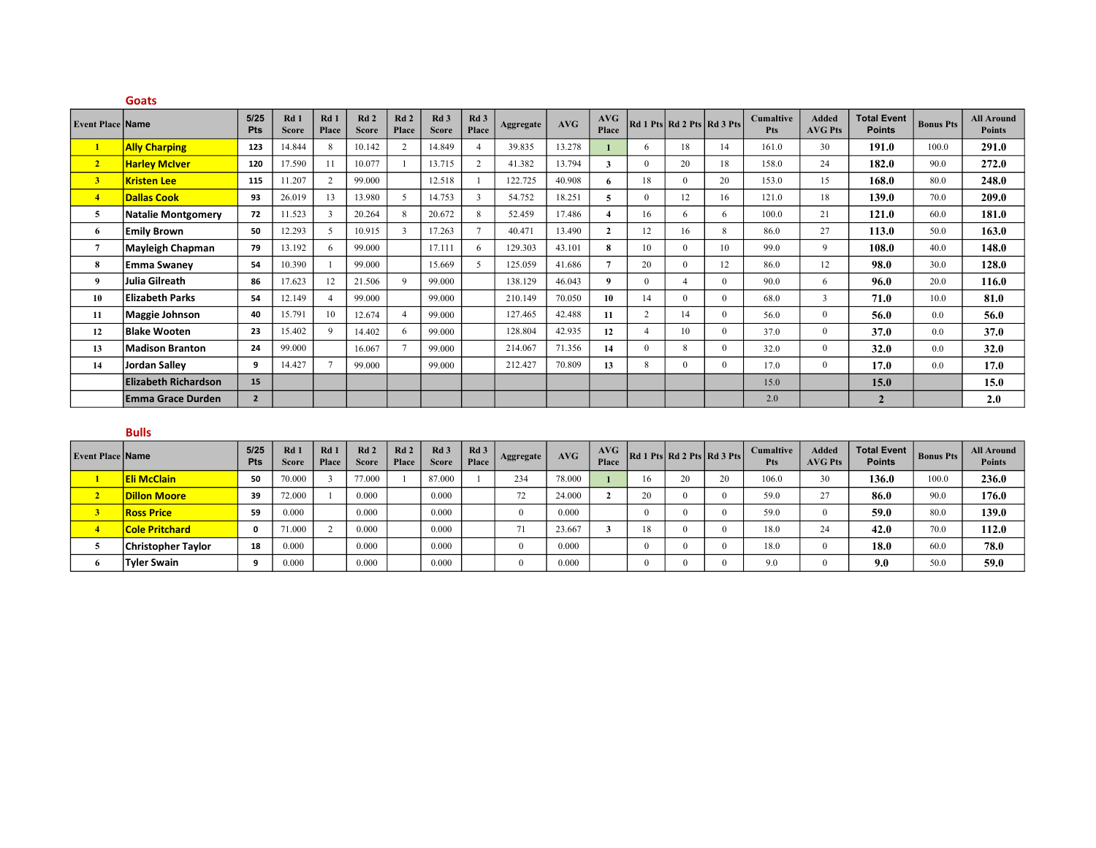|                         | <b>Goats</b>                |                |                                 |                |                     |                          |                      |                          |           |        |                |                |                            |          |                         |                                |                                     |                  |                                    |
|-------------------------|-----------------------------|----------------|---------------------------------|----------------|---------------------|--------------------------|----------------------|--------------------------|-----------|--------|----------------|----------------|----------------------------|----------|-------------------------|--------------------------------|-------------------------------------|------------------|------------------------------------|
| <b>Event Place Name</b> |                             | 5/25<br>Pts    | Rd <sub>1</sub><br><b>Score</b> | Rd1<br>Place   | Rd2<br><b>Score</b> | Rd <sub>2</sub><br>Place | Rd 3<br><b>Score</b> | Rd <sub>3</sub><br>Place | Aggregate | AVG    | AVG<br>Place   |                | Rd 1 Pts Rd 2 Pts Rd 3 Pts |          | <b>Cumaltive</b><br>Pts | <b>Added</b><br><b>AVG Pts</b> | <b>Total Event</b><br><b>Points</b> | <b>Bonus Pts</b> | <b>All Around</b><br><b>Points</b> |
| $\mathbf{1}$            | <b>Ally Charping</b>        | 123            | 14.844                          | 8              | 10.142              | 2                        | 14.849               | $\overline{4}$           | 39.835    | 13.278 |                | 6              | 18                         | 14       | 161.0                   | 30                             | 191.0                               | 100.0            | 291.0                              |
| 2 <sup>7</sup>          | <b>Harley McIver</b>        | 120            | 17.590                          |                | 10.077              |                          | 13.715               | $\overline{2}$           | 41.382    | 13.794 | 3              | $\Omega$       | 20                         | 18       | 158.0                   | 24                             | 182.0                               | 90.0             | 272.0                              |
| 3 <sup>1</sup>          | <b>Kristen Lee</b>          | 115            | 11.207                          | $\overline{2}$ | 99.000              |                          | 12.518               |                          | 122.725   | 40.908 | 6              | 18             | $\overline{0}$             | 20       | 153.0                   | 15                             | 168.0                               | 80.0             | 248.0                              |
| $\overline{4}$          | <b>Dallas Cook</b>          | 93             | 26.019                          | 13             | 13.980              | 5                        | 14.753               | $\mathbf{3}$             | 54.752    | 18.251 | 5              | $\Omega$       | 12                         | 16       | 121.0                   | 18                             | 139.0                               | 70.0             | 209.0                              |
| 5                       | <b>Natalie Montgomery</b>   | 72             | 11.523                          | 3              | 20.264              | 8                        | 20.672               | 8                        | 52.459    | 17.486 |                | 16             | 6                          | 6        | 100.0                   | 21                             | 121.0                               | 60.0             | 181.0                              |
| -6                      | <b>Emily Brown</b>          | 50             | 12.293                          | 5              | 10.915              | 3                        | 17.263               | $\tau$                   | 40.471    | 13.490 | $\overline{2}$ | 12             | 16                         | 8        | 86.0                    | 27                             | 113.0                               | 50.0             | 163.0                              |
| $\overline{7}$          | Mayleigh Chapman            | 79             | 13.192                          | 6              | 99.000              |                          | 17.111               | 6                        | 129.303   | 43.101 | 8              | 10             | $\Omega$                   | 10       | 99.0                    | 9                              | 108.0                               | 40.0             | 148.0                              |
| 8                       | <b>Emma Swaney</b>          | 54             | 10.390                          |                | 99.000              |                          | 15.669               | 5.                       | 125.059   | 41.686 | $\overline{7}$ | 20             | $\Omega$                   | 12       | 86.0                    | 12                             | 98.0                                | 30.0             | 128.0                              |
| 9                       | Julia Gilreath              | 86             | 17.623                          | 12             | 21.506              | $\mathbf{Q}$             | 99.000               |                          | 138.129   | 46.043 | 9              | $\Omega$       | $\overline{4}$             | $\Omega$ | 90.0                    | 6                              | 96.0                                | 20.0             | 116.0                              |
| 10                      | <b>Elizabeth Parks</b>      | 54             | 12.149                          |                | 99.000              |                          | 99.000               |                          | 210.149   | 70.050 | 10             | 14             | $\Omega$                   | $\Omega$ | 68.0                    | 3                              | 71.0                                | 10.0             | 81.0                               |
| 11                      | <b>Maggie Johnson</b>       | 40             | 15.791                          | 10             | 12.674              | $\overline{4}$           | 99.000               |                          | 127.465   | 42.488 | 11             | $\overline{2}$ | 14                         | $\Omega$ | 56.0                    | $\Omega$                       | 56.0                                | 0.0              | 56.0                               |
| 12                      | <b>Blake Wooten</b>         | 23             | 15.402                          | $\mathbf{Q}$   | 14.402              | 6                        | 99.000               |                          | 128.804   | 42.935 | 12             | $\overline{4}$ | 10                         | $\Omega$ | 37.0                    | $\Omega$                       | 37.0                                | 0.0              | <b>37.0</b>                        |
| 13                      | <b>Madison Branton</b>      | 24             | 99.000                          |                | 16.067              | $\mathcal{I}$            | 99.000               |                          | 214.067   | 71.356 | 14             | $\Omega$       | 8                          | $\Omega$ | 32.0                    | $\Omega$                       | 32.0                                | 0.0              | 32.0                               |
| 14                      | Jordan Salley               | 9              | 14.427                          |                | 99.000              |                          | 99.000               |                          | 212.427   | 70.809 | 13             | 8              | $\theta$                   | $\theta$ | 17.0                    | $\Omega$                       | 17.0                                | 0.0              | 17.0                               |
|                         | <b>Elizabeth Richardson</b> | 15             |                                 |                |                     |                          |                      |                          |           |        |                |                |                            |          | 15.0                    |                                | 15.0                                |                  | 15.0                               |
|                         | <b>Emma Grace Durden</b>    | $\overline{2}$ |                                 |                |                     |                          |                      |                          |           |        |                |                |                            |          | 2.0                     |                                | $\overline{2}$                      |                  | 2.0                                |

| ۰.<br>__ |
|----------|
|----------|

| <b>Event Place Name</b> |                           | 5/25<br>Pts | Rd 1<br><b>Score</b> | Rd 1<br>Place | Rd <sub>2</sub><br><b>Score</b> | Rd2<br>Place | Rd <sub>3</sub><br><b>Score</b> | Rd <sub>3</sub><br>Place | Aggregate | AVG    | AVG<br>Place |    | Rd1Pts Rd2Pts Rd3Pts | <b>Cumaltive</b><br><b>Pts</b> | <b>Added</b><br><b>AVG Pts</b> | $\cdot$   Total Event   Bonus Pts   $\cdot$<br><b>Points</b> |       | <b>All Around</b><br><b>Points</b> |
|-------------------------|---------------------------|-------------|----------------------|---------------|---------------------------------|--------------|---------------------------------|--------------------------|-----------|--------|--------------|----|----------------------|--------------------------------|--------------------------------|--------------------------------------------------------------|-------|------------------------------------|
|                         | <b>Eli McClain</b>        | 50          | 70.000               |               | 77.000                          |              | 87.000                          |                          | 234       | 78.000 |              |    | $\mathbf{A}$         | 106.0                          | 30                             | 136.0                                                        | 100.0 | 236.0                              |
|                         | <b>Dillon Moore</b>       | 39          | 72.000               |               | 0.000                           |              | 0.000                           |                          | 72        | 24.000 |              |    |                      | 59.0                           | 27                             | 86.0                                                         | 90.0  | 176.0                              |
|                         | <b>Ross Price</b>         | 59          | 0.000                |               | 0.000                           |              | 0.000                           |                          |           | 0.000  |              |    |                      | 59.0                           |                                | 59.0                                                         | 80.0  | 139.0                              |
|                         | <b>Cole Pritchard</b>     | 0           | 71.000               |               | 0.000                           |              | 0.000                           |                          | 71        | 23.667 |              | 18 |                      | 18.0                           | $\sim$                         | 42.0                                                         | 70.0  | 112.0                              |
|                         | <b>Christopher Taylor</b> | 18          | 0.000                |               | 0.000                           |              | 0.000                           |                          |           | 0.000  |              |    |                      | 18.0                           |                                | 18.0                                                         | 60.0  | 78.0                               |
|                         | <b>Tvler Swain</b>        | $\sqrt{2}$  | 0.000                |               | 0.000                           |              | 0.000                           |                          |           | 0.000  |              |    |                      | 9.0                            |                                | 9.0                                                          | 50.0  | 59.0                               |